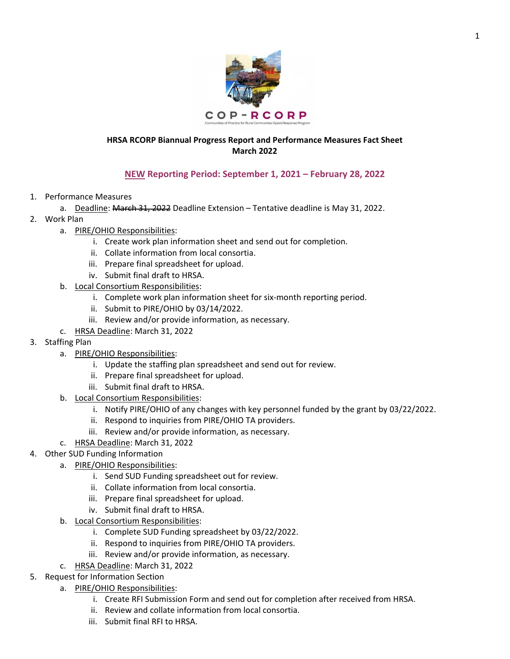

## **HRSA RCORP Biannual Progress Report and Performance Measures Fact Sheet March 2022**

## **NEW Reporting Period: September 1, 2021 – February 28, 2022**

- 1. Performance Measures
	- a. Deadline: March 31, 2022 Deadline Extension Tentative deadline is May 31, 2022.
- 2. Work Plan
	- a. PIRE/OHIO Responsibilities:
		- i. Create work plan information sheet and send out for completion.
		- ii. Collate information from local consortia.
		- iii. Prepare final spreadsheet for upload.
		- iv. Submit final draft to HRSA.
	- b. Local Consortium Responsibilities:
		- i. Complete work plan information sheet for six-month reporting period.
		- ii. Submit to PIRE/OHIO by 03/14/2022.
		- iii. Review and/or provide information, as necessary.
	- c. HRSA Deadline: March 31, 2022
- 3. Staffing Plan
	- a. PIRE/OHIO Responsibilities:
		- i. Update the staffing plan spreadsheet and send out for review.
		- ii. Prepare final spreadsheet for upload.
		- iii. Submit final draft to HRSA.
	- b. Local Consortium Responsibilities:
		- i. Notify PIRE/OHIO of any changes with key personnel funded by the grant by 03/22/2022.
		- ii. Respond to inquiries from PIRE/OHIO TA providers.
		- iii. Review and/or provide information, as necessary.
	- c. HRSA Deadline: March 31, 2022
- 4. Other SUD Funding Information
	- a. PIRE/OHIO Responsibilities:
		- i. Send SUD Funding spreadsheet out for review.
		- ii. Collate information from local consortia.
		- iii. Prepare final spreadsheet for upload.
		- iv. Submit final draft to HRSA.
		- b. Local Consortium Responsibilities:
			- i. Complete SUD Funding spreadsheet by 03/22/2022.
			- ii. Respond to inquiries from PIRE/OHIO TA providers.
			- iii. Review and/or provide information, as necessary.
		- c. HRSA Deadline: March 31, 2022
- 5. Request for Information Section
	- a. PIRE/OHIO Responsibilities:
		- i. Create RFI Submission Form and send out for completion after received from HRSA.
		- ii. Review and collate information from local consortia.
		- iii. Submit final RFI to HRSA.